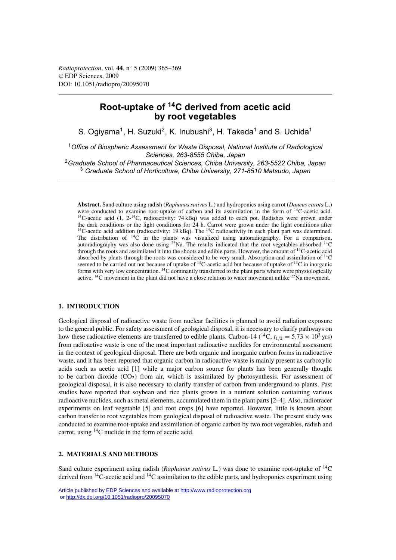*Radioprotection*, vol. **44**, n◦ 5 (2009) 365–369 © EDP Sciences, 2009 DOI: 10.1051/radiopro/20095070

# **Root-uptake of 14C derived from acetic acid by root vegetables**

S. Ogiyama<sup>1</sup>, H. Suzuki<sup>2</sup>, K. Inubushi<sup>3</sup>, H. Takeda<sup>1</sup> and S. Uchida<sup>1</sup>

<sup>1</sup>*Office of Biospheric Assessment for Waste Disposal, National Institute of Radiological Sciences, 263-8555 Chiba, Japan*

<sup>2</sup>*Graduate School of Pharmaceutical Sciences, Chiba University, 263-5522 Chiba, Japan* <sup>3</sup> *Graduate School of Horticulture, Chiba University, 271-8510 Matsudo, Japan*

**Abstract.** Sand culture using radish (*Raphanus sativus* L.) and hydroponics using carrot (*Daucus carota* L.) were conducted to examine root-uptake of carbon and its assimilation in the form of <sup>14</sup>C-acetic acid. <sup>14</sup>C-acetic acid (1, 2-<sup>14</sup>C, radioactivity: 74 kBq) was added to each pot. Radishes were grown under the dark conditions or the light conditions for  $24$  h. Carrot were grown under the light conditions after  $14C$ -acetic acid addition (radioactivity: 19 kBq). The  $14C$  radioactivity in each plant part was determined. The distribution of  ${}^{14}C$  in the plants was visualized using autoradiography. For a comparison, autoradiography was also done using  $^{22}$ Na. The results indicated that the root vegetables absorbed  $^{14}$ C through the roots and assimilated it into the shoots and edible parts. However, the amount of 14C-acetic acid absorbed by plants through the roots was considered to be very small. Absorption and assimilation of 14C seemed to be carried out not because of uptake of 14C-acetic acid but because of uptake of 14C in inorganic forms with very low concentration. 14C dominantly transferred to the plant parts where were physiologically active. <sup>14</sup>C movement in the plant did not have a close relation to water movement unlike <sup>22</sup>Na movement.

## **1. INTRODUCTION**

Geological disposal of radioactive waste from nuclear facilities is planned to avoid radiation exposure to the general public. For safety assessment of geological disposal, it is necessary to clarify pathways on how these radioactive elements are transferred to edible plants. Carbon-14 (<sup>14</sup>C,  $t_{1/2} = 5.73 \times 10^3$  yrs) from radioactive waste is one of the most important radioactive nuclides for environmental assessment in the context of geological disposal. There are both organic and inorganic carbon forms in radioactive waste, and it has been reported that organic carbon in radioactive waste is mainly present as carboxylic acids such as acetic acid [1] while a major carbon source for plants has been generally thought to be carbon dioxide  $(CO<sub>2</sub>)$  from air, which is assimilated by photosynthesis. For assessment of geological disposal, it is also necessary to clarify transfer of carbon from underground to plants. Past studies have reported that soybean and rice plants grown in a nutrient solution containing various radioactive nuclides, such as metal elements, accumulated them in the plant parts [2–4]. Also, radiotracer experiments on leaf vegetable [5] and root crops [6] have reported. However, little is known about carbon transfer to root vegetables from geological disposal of radioactive waste. The present study was conducted to examine root-uptake and assimilation of organic carbon by two root vegetables, radish and carrot, using  $^{14}$ C nuclide in the form of acetic acid.

## **2. MATERIALS AND METHODS**

Sand culture experiment using radish (*Raphanus sativus* L.) was done to examine root-uptake of 14C derived from <sup>14</sup>C-acetic acid and <sup>14</sup>C assimilation to the edible parts, and hydroponics experiment using

Article published by **EDP** Sciences and available at<http://www.radioprotection.org> or <http://dx.doi.org/10.1051/radiopro/20095070>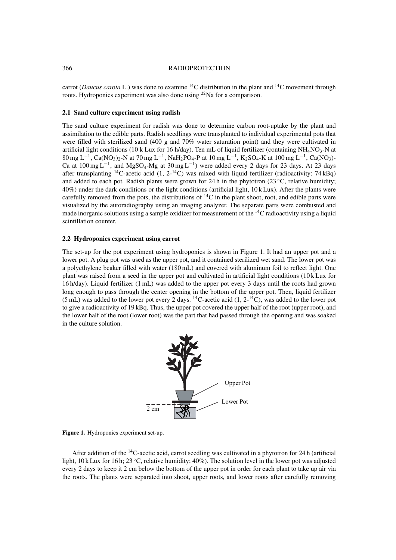#### 366 RADIOPROTECTION

carrot (*Daucus carota* L.) was done to examine 14C distribution in the plant and 14C movement through roots. Hydroponics experiment was also done using 22Na for a comparison.

## **2.1 Sand culture experiment using radish**

The sand culture experiment for radish was done to determine carbon root-uptake by the plant and assimilation to the edible parts. Radish seedlings were transplanted to individual experimental pots that were filled with sterilized sand (400 g and 70% water saturation point) and they were cultivated in artificial light conditions (10 k Lux for 16 h/day). Ten mL of liquid fertilizer (containing NH<sub>4</sub>NO<sub>3</sub>-N at 80 mg L<sup>-1</sup>, Ca(NO<sub>3</sub>)<sub>2</sub>-N at 70 mg L<sup>-1</sup>, NaH<sub>2</sub>PO<sub>4</sub>-P at 10 mg L<sup>-1</sup>, K<sub>2</sub>SO<sub>4</sub>-K at 100 mg L<sup>-1</sup>, Ca(NO<sub>3</sub>)-Ca at  $100 \text{ mg L}^{-1}$ , and MgSO<sub>4</sub>-Mg at  $30 \text{ mg L}^{-1}$ ) were added every 2 days for 23 days. At 23 days after transplanting <sup>14</sup>C-acetic acid (1, 2<sup>-14</sup>C) was mixed with liquid fertilizer (radioactivity: 74 kBq) and added to each pot. Radish plants were grown for 24 h in the phytotron (23  $\degree$ C, relative humidity; 40%) under the dark conditions or the light conditions (artificial light, 10 k Lux). After the plants were carefully removed from the pots, the distributions of 14C in the plant shoot, root, and edible parts were visualized by the autoradiography using an imaging analyzer. The separate parts were combusted and made inorganic solutions using a sample oxidizer for measurement of the  ${}^{14}C$  radioactivity using a liquid scintillation counter.

#### **2.2 Hydroponics experiment using carrot**

The set-up for the pot experiment using hydroponics is shown in Figure 1. It had an upper pot and a lower pot. A plug pot was used as the upper pot, and it contained sterilized wet sand. The lower pot was a polyethylene beaker filled with water (180 mL) and covered with aluminum foil to reflect light. One plant was raised from a seed in the upper pot and cultivated in artificial light conditions (10 k Lux for 16 h/day). Liquid fertilizer (1 mL) was added to the upper pot every 3 days until the roots had grown long enough to pass through the center opening in the bottom of the upper pot. Then, liquid fertilizer (5 mL) was added to the lower pot every 2 days. <sup>14</sup>C-acetic acid (1,  $2^{-14}$ C), was added to the lower pot to give a radioactivity of 19 kBq. Thus, the upper pot covered the upper half of the root (upper root), and the lower half of the root (lower root) was the part that had passed through the opening and was soaked in the culture solution.



**Figure 1.** Hydroponics experiment set-up.

After addition of the  $^{14}$ C-acetic acid, carrot seedling was cultivated in a phytotron for 24 h (artificial light, 10 k Lux for 16 h; 23 °C, relative humidity; 40%). The solution level in the lower pot was adjusted every 2 days to keep it 2 cm below the bottom of the upper pot in order for each plant to take up air via the roots. The plants were separated into shoot, upper roots, and lower roots after carefully removing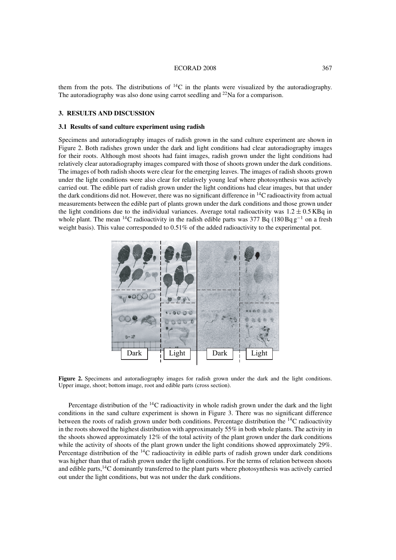#### ECORAD 2008 367

them from the pots. The distributions of  ${}^{14}C$  in the plants were visualized by the autoradiography. The autoradiography was also done using carrot seedling and  $^{22}$ Na for a comparison.

## **3. RESULTS AND DISCUSSION**

## **3.1 Results of sand culture experiment using radish**

Specimens and autoradiography images of radish grown in the sand culture experiment are shown in Figure 2. Both radishes grown under the dark and light conditions had clear autoradiography images for their roots. Although most shoots had faint images, radish grown under the light conditions had relatively clear autoradiography images compared with those of shoots grown under the dark conditions. The images of both radish shoots were clear for the emerging leaves. The images of radish shoots grown under the light conditions were also clear for relatively young leaf where photosynthesis was actively carried out. The edible part of radish grown under the light conditions had clear images, but that under the dark conditions did not. However, there was no significant difference in  $14C$  radioactivity from actual measurements between the edible part of plants grown under the dark conditions and those grown under the light conditions due to the individual variances. Average total radioactivity was  $1.2 \pm 0.5$  KBq in whole plant. The mean <sup>14</sup>C radioactivity in the radish edible parts was 377 Bq (180 Bq  $g^{-1}$  on a fresh weight basis). This value corresponded to 0.51% of the added radioactivity to the experimental pot.



**Figure 2.** Specimens and autoradiography images for radish grown under the dark and the light conditions. Upper image, shoot; bottom image, root and edible parts (cross section).

Percentage distribution of the  ${}^{14}C$  radioactivity in whole radish grown under the dark and the light conditions in the sand culture experiment is shown in Figure 3. There was no significant difference between the roots of radish grown under both conditions. Percentage distribution the 14C radioactivity in the roots showed the highest distribution with approximately 55% in both whole plants. The activity in the shoots showed approximately  $12\%$  of the total activity of the plant grown under the dark conditions while the activity of shoots of the plant grown under the light conditions showed approximately 29%. Percentage distribution of the <sup>14</sup>C radioactivity in edible parts of radish grown under dark conditions was higher than that of radish grown under the light conditions. For the terms of relation between shoots and edible parts,14C dominantly transferred to the plant parts where photosynthesis was actively carried out under the light conditions, but was not under the dark conditions.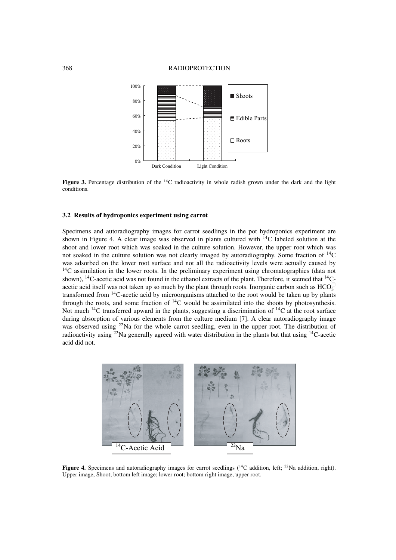#### 368 RADIOPROTECTION



**Figure 3.** Percentage distribution of the <sup>14</sup>C radioactivity in whole radish grown under the dark and the light conditions.

## **3.2 Results of hydroponics experiment using carrot**

Specimens and autoradiography images for carrot seedlings in the pot hydroponics experiment are shown in Figure 4. A clear image was observed in plants cultured with  ${}^{14}C$  labeled solution at the shoot and lower root which was soaked in the culture solution. However, the upper root which was not soaked in the culture solution was not clearly imaged by autoradiography. Some fraction of 14C was adsorbed on the lower root surface and not all the radioactivity levels were actually caused by  $14C$  assimilation in the lower roots. In the preliminary experiment using chromatographies (data not shown),  $^{14}$ C-acetic acid was not found in the ethanol extracts of the plant. Therefore, it seemed that  $^{14}$ Cacetic acid itself was not taken up so much by the plant through roots. Inorganic carbon such as  $HCO_3^{\square}$ transformed from 14C-acetic acid by microorganisms attached to the root would be taken up by plants through the roots, and some fraction of  ${}^{14}C$  would be assimilated into the shoots by photosynthesis. Not much <sup>14</sup>C transferred upward in the plants, suggesting a discrimination of <sup>14</sup>C at the root surface during absorption of various elements from the culture medium [7]. A clear autoradiography image was observed using <sup>22</sup>Na for the whole carrot seedling, even in the upper root. The distribution of radioactivity using <sup>22</sup>Na generally agreed with water distribution in the plants but that using  $^{14}$ C-acetic acid did not.



**Figure 4.** Specimens and autoradiography images for carrot seedlings (<sup>14</sup>C addition, left; <sup>22</sup>Na addition, right). Upper image, Shoot; bottom left image; lower root; bottom right image, upper root.